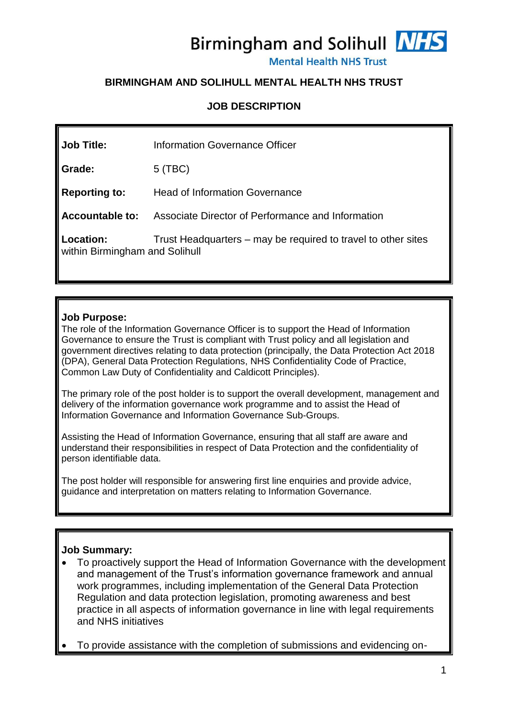Birmingham and Solihull NHS

**Mental Health NHS Trust** 

# **BIRMINGHAM AND SOLIHULL MENTAL HEALTH NHS TRUST**

### **JOB DESCRIPTION**

| <b>Job Title:</b>                           | Information Governance Officer                                |
|---------------------------------------------|---------------------------------------------------------------|
| Grade:                                      | $5$ (TBC)                                                     |
| <b>Reporting to:</b>                        | <b>Head of Information Governance</b>                         |
| Accountable to:                             | Associate Director of Performance and Information             |
| Location:<br>within Birmingham and Solihull | Trust Headquarters – may be required to travel to other sites |

#### **Job Purpose:**

The role of the Information Governance Officer is to support the Head of Information Governance to ensure the Trust is compliant with Trust policy and all legislation and government directives relating to data protection (principally, the Data Protection Act 2018 (DPA), General Data Protection Regulations, NHS Confidentiality Code of Practice, Common Law Duty of Confidentiality and Caldicott Principles).

The primary role of the post holder is to support the overall development, management and delivery of the information governance work programme and to assist the Head of Information Governance and Information Governance Sub-Groups.

Assisting the Head of Information Governance, ensuring that all staff are aware and understand their responsibilities in respect of Data Protection and the confidentiality of person identifiable data.

The post holder will responsible for answering first line enquiries and provide advice, guidance and interpretation on matters relating to Information Governance.

# **Job Summary:**

 To proactively support the Head of Information Governance with the development and management of the Trust's information governance framework and annual work programmes, including implementation of the General Data Protection Regulation and data protection legislation, promoting awareness and best practice in all aspects of information governance in line with legal requirements and NHS initiatives

To provide assistance with the completion of submissions and evidencing on-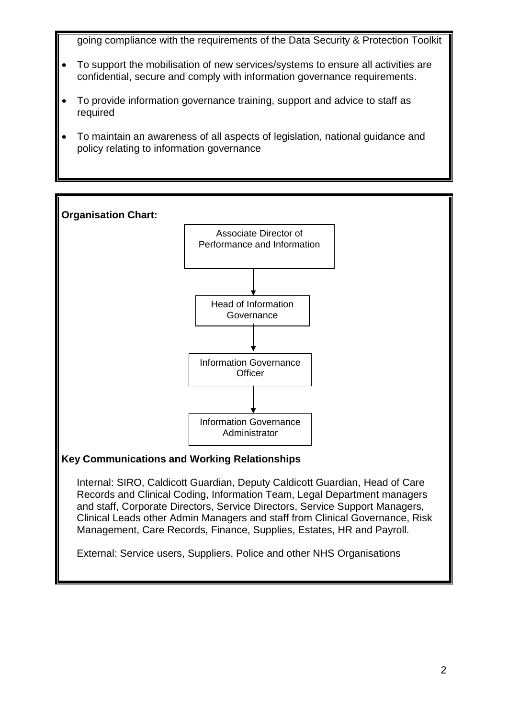going compliance with the requirements of the Data Security & Protection Toolkit

- To support the mobilisation of new services/systems to ensure all activities are confidential, secure and comply with information governance requirements.
- To provide information governance training, support and advice to staff as required
- To maintain an awareness of all aspects of legislation, national guidance and policy relating to information governance



and staff, Corporate Directors, Service Directors, Service Support Managers, Clinical Leads other Admin Managers and staff from Clinical Governance, Risk Management, Care Records, Finance, Supplies, Estates, HR and Payroll.

External: Service users, Suppliers, Police and other NHS Organisations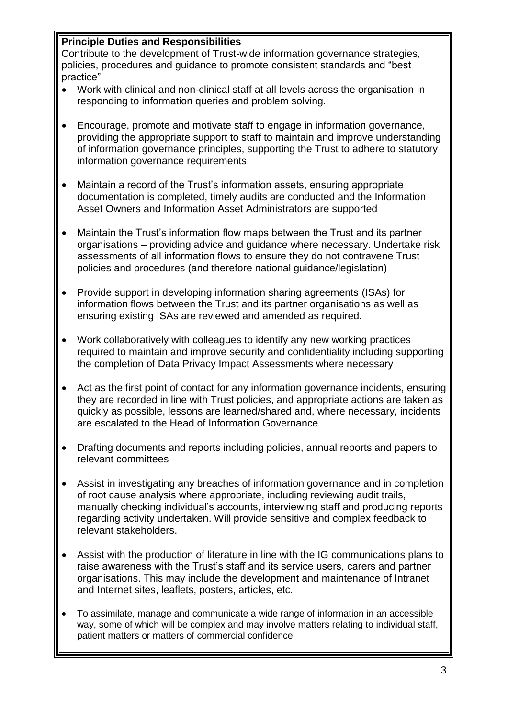# **Principle Duties and Responsibilities**

Contribute to the development of Trust-wide information governance strategies, policies, procedures and guidance to promote consistent standards and "best practice"

- Work with clinical and non-clinical staff at all levels across the organisation in responding to information queries and problem solving.
- Encourage, promote and motivate staff to engage in information governance, providing the appropriate support to staff to maintain and improve understanding of information governance principles, supporting the Trust to adhere to statutory information governance requirements.
- Maintain a record of the Trust's information assets, ensuring appropriate documentation is completed, timely audits are conducted and the Information Asset Owners and Information Asset Administrators are supported
- Maintain the Trust's information flow maps between the Trust and its partner organisations – providing advice and guidance where necessary. Undertake risk assessments of all information flows to ensure they do not contravene Trust policies and procedures (and therefore national guidance/legislation)
- Provide support in developing information sharing agreements (ISAs) for information flows between the Trust and its partner organisations as well as ensuring existing ISAs are reviewed and amended as required.
- Work collaboratively with colleagues to identify any new working practices required to maintain and improve security and confidentiality including supporting the completion of Data Privacy Impact Assessments where necessary
- Act as the first point of contact for any information governance incidents, ensuring they are recorded in line with Trust policies, and appropriate actions are taken as quickly as possible, lessons are learned/shared and, where necessary, incidents are escalated to the Head of Information Governance
- Drafting documents and reports including policies, annual reports and papers to relevant committees
- Assist in investigating any breaches of information governance and in completion of root cause analysis where appropriate, including reviewing audit trails, manually checking individual's accounts, interviewing staff and producing reports regarding activity undertaken. Will provide sensitive and complex feedback to relevant stakeholders.
- Assist with the production of literature in line with the IG communications plans to raise awareness with the Trust's staff and its service users, carers and partner organisations. This may include the development and maintenance of Intranet and Internet sites, leaflets, posters, articles, etc.
- To assimilate, manage and communicate a wide range of information in an accessible way, some of which will be complex and may involve matters relating to individual staff, patient matters or matters of commercial confidence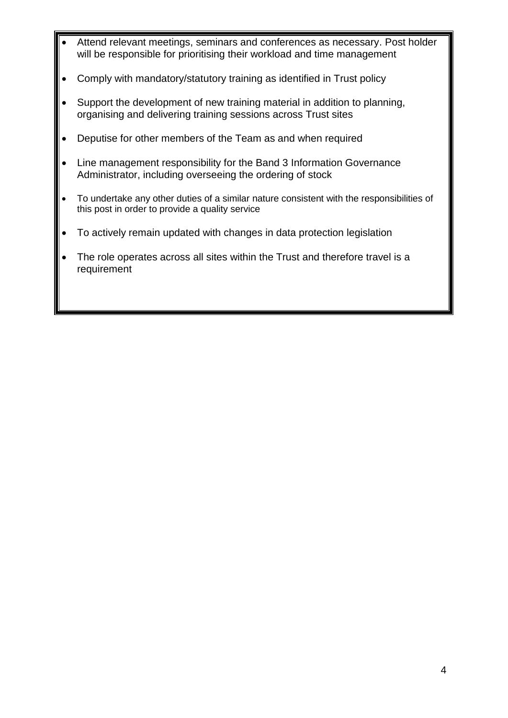- Attend relevant meetings, seminars and conferences as necessary. Post holder will be responsible for prioritising their workload and time management
- Comply with mandatory/statutory training as identified in Trust policy
- Support the development of new training material in addition to planning, organising and delivering training sessions across Trust sites
- Deputise for other members of the Team as and when required
- Line management responsibility for the Band 3 Information Governance Administrator, including overseeing the ordering of stock
- To undertake any other duties of a similar nature consistent with the responsibilities of this post in order to provide a quality service
- To actively remain updated with changes in data protection legislation
- The role operates across all sites within the Trust and therefore travel is a requirement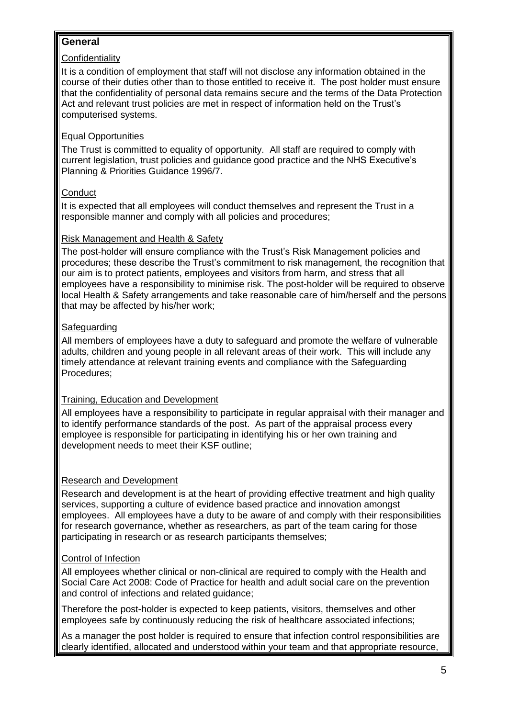# **General**

### **Confidentiality**

It is a condition of employment that staff will not disclose any information obtained in the course of their duties other than to those entitled to receive it. The post holder must ensure that the confidentiality of personal data remains secure and the terms of the Data Protection Act and relevant trust policies are met in respect of information held on the Trust's computerised systems.

### Equal Opportunities

The Trust is committed to equality of opportunity. All staff are required to comply with current legislation, trust policies and guidance good practice and the NHS Executive's Planning & Priorities Guidance 1996/7.

### **Conduct**

It is expected that all employees will conduct themselves and represent the Trust in a responsible manner and comply with all policies and procedures;

### Risk Management and Health & Safety

The post-holder will ensure compliance with the Trust's Risk Management policies and procedures; these describe the Trust's commitment to risk management, the recognition that our aim is to protect patients, employees and visitors from harm, and stress that all employees have a responsibility to minimise risk. The post-holder will be required to observe local Health & Safety arrangements and take reasonable care of him/herself and the persons that may be affected by his/her work;

### Safeguarding

All members of employees have a duty to safeguard and promote the welfare of vulnerable adults, children and young people in all relevant areas of their work. This will include any timely attendance at relevant training events and compliance with the Safeguarding Procedures;

# Training, Education and Development

All employees have a responsibility to participate in regular appraisal with their manager and to identify performance standards of the post. As part of the appraisal process every employee is responsible for participating in identifying his or her own training and development needs to meet their KSF outline;

# Research and Development

Research and development is at the heart of providing effective treatment and high quality services, supporting a culture of evidence based practice and innovation amongst employees. All employees have a duty to be aware of and comply with their responsibilities for research governance, whether as researchers, as part of the team caring for those participating in research or as research participants themselves;

### Control of Infection

All employees whether clinical or non-clinical are required to comply with the Health and Social Care Act 2008: Code of Practice for health and adult social care on the prevention and control of infections and related guidance;

Therefore the post-holder is expected to keep patients, visitors, themselves and other employees safe by continuously reducing the risk of healthcare associated infections;

As a manager the post holder is required to ensure that infection control responsibilities are clearly identified, allocated and understood within your team and that appropriate resource,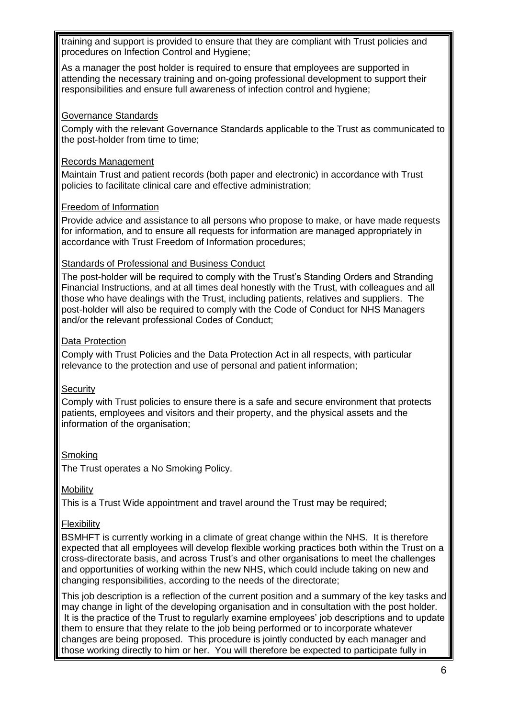training and support is provided to ensure that they are compliant with Trust policies and procedures on Infection Control and Hygiene;

As a manager the post holder is required to ensure that employees are supported in attending the necessary training and on-going professional development to support their responsibilities and ensure full awareness of infection control and hygiene;

#### Governance Standards

Comply with the relevant Governance Standards applicable to the Trust as communicated to the post-holder from time to time;

#### Records Management

Maintain Trust and patient records (both paper and electronic) in accordance with Trust policies to facilitate clinical care and effective administration;

#### Freedom of Information

Provide advice and assistance to all persons who propose to make, or have made requests for information, and to ensure all requests for information are managed appropriately in accordance with Trust Freedom of Information procedures;

#### Standards of Professional and Business Conduct

The post-holder will be required to comply with the Trust's Standing Orders and Stranding Financial Instructions, and at all times deal honestly with the Trust, with colleagues and all those who have dealings with the Trust, including patients, relatives and suppliers. The post-holder will also be required to comply with the Code of Conduct for NHS Managers and/or the relevant professional Codes of Conduct;

#### Data Protection

Comply with Trust Policies and the Data Protection Act in all respects, with particular relevance to the protection and use of personal and patient information;

#### **Security**

Comply with Trust policies to ensure there is a safe and secure environment that protects patients, employees and visitors and their property, and the physical assets and the information of the organisation;

#### **Smoking**

The Trust operates a No Smoking Policy.

#### **Mobility**

This is a Trust Wide appointment and travel around the Trust may be required;

#### **Flexibility**

BSMHFT is currently working in a climate of great change within the NHS. It is therefore expected that all employees will develop flexible working practices both within the Trust on a cross-directorate basis, and across Trust's and other organisations to meet the challenges and opportunities of working within the new NHS, which could include taking on new and changing responsibilities, according to the needs of the directorate;

This job description is a reflection of the current position and a summary of the key tasks and may change in light of the developing organisation and in consultation with the post holder. It is the practice of the Trust to regularly examine employees' job descriptions and to update them to ensure that they relate to the job being performed or to incorporate whatever changes are being proposed. This procedure is jointly conducted by each manager and those working directly to him or her. You will therefore be expected to participate fully in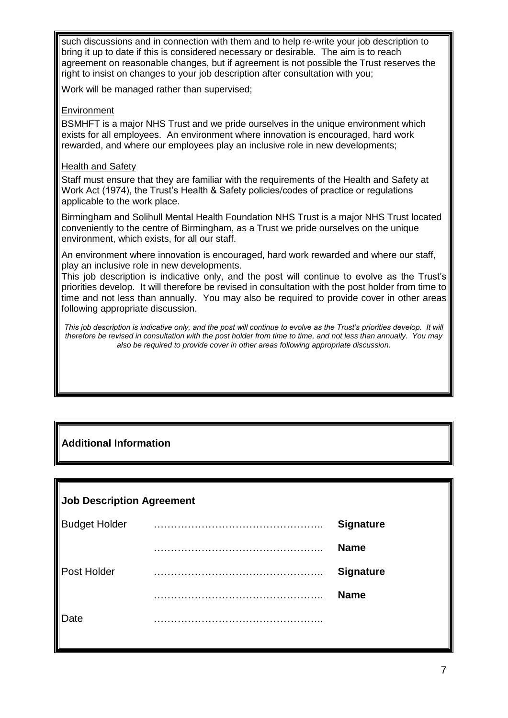such discussions and in connection with them and to help re-write your job description to bring it up to date if this is considered necessary or desirable. The aim is to reach agreement on reasonable changes, but if agreement is not possible the Trust reserves the right to insist on changes to your job description after consultation with you;

Work will be managed rather than supervised;

#### **Environment**

BSMHFT is a major NHS Trust and we pride ourselves in the unique environment which exists for all employees. An environment where innovation is encouraged, hard work rewarded, and where our employees play an inclusive role in new developments;

#### Health and Safety

Staff must ensure that they are familiar with the requirements of the Health and Safety at Work Act (1974), the Trust's Health & Safety policies/codes of practice or regulations applicable to the work place.

Birmingham and Solihull Mental Health Foundation NHS Trust is a major NHS Trust located conveniently to the centre of Birmingham, as a Trust we pride ourselves on the unique environment, which exists, for all our staff.

An environment where innovation is encouraged, hard work rewarded and where our staff, play an inclusive role in new developments.

This job description is indicative only, and the post will continue to evolve as the Trust's priorities develop. It will therefore be revised in consultation with the post holder from time to time and not less than annually. You may also be required to provide cover in other areas following appropriate discussion.

*This job description is indicative only, and the post will continue to evolve as the Trust's priorities develop. It will therefore be revised in consultation with the post holder from time to time, and not less than annually. You may also be required to provide cover in other areas following appropriate discussion.*

# **Additional Information**

### **Job Description Agreement**

| <b>Budget Holder</b> | <b>Signature</b> |
|----------------------|------------------|
|                      | <b>Name</b>      |
| Post Holder          | <b>Signature</b> |
|                      | <b>Name</b>      |
| Date                 |                  |
|                      |                  |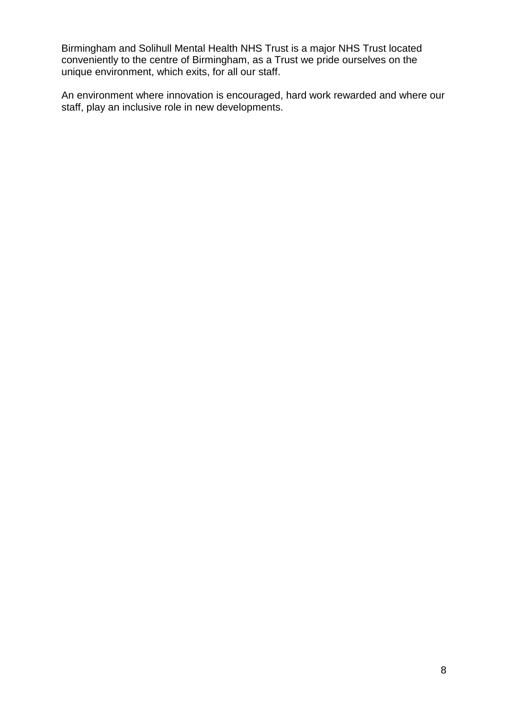Birmingham and Solihull Mental Health NHS Trust is a major NHS Trust located conveniently to the centre of Birmingham, as a Trust we pride ourselves on the unique environment, which exits, for all our staff.

An environment where innovation is encouraged, hard work rewarded and where our staff, play an inclusive role in new developments.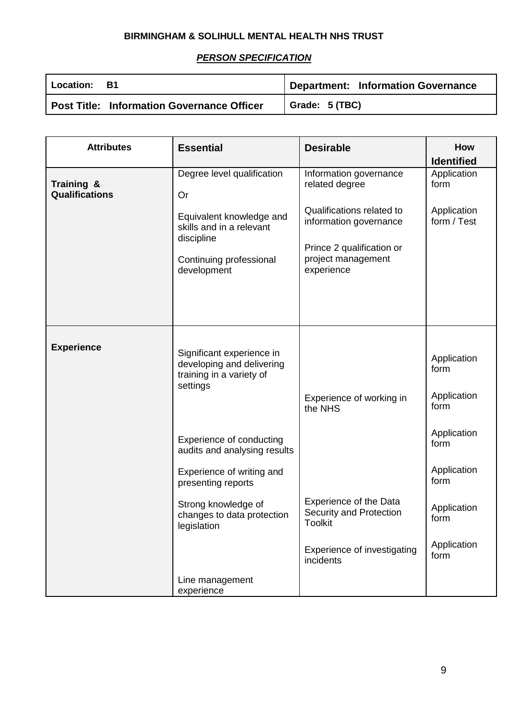# **BIRMINGHAM & SOLIHULL MENTAL HEALTH NHS TRUST**

# *PERSON SPECIFICATION*

| l Location: B1 |                                            | Department: Information Governance |
|----------------|--------------------------------------------|------------------------------------|
|                | Post Title: Information Governance Officer | Grade: 5 (TBC)                     |

| <b>Attributes</b>                   | <b>Essential</b>                                                                                             | <b>Desirable</b>                                                                                                     | How<br><b>Identified</b>                   |
|-------------------------------------|--------------------------------------------------------------------------------------------------------------|----------------------------------------------------------------------------------------------------------------------|--------------------------------------------|
| Training &<br><b>Qualifications</b> | Degree level qualification<br>Or                                                                             | Information governance<br>related degree                                                                             | Application<br>form                        |
|                                     | Equivalent knowledge and<br>skills and in a relevant<br>discipline<br>Continuing professional<br>development | Qualifications related to<br>information governance<br>Prince 2 qualification or<br>project management<br>experience | Application<br>form / Test                 |
| <b>Experience</b>                   | Significant experience in<br>developing and delivering<br>training in a variety of<br>settings               | Experience of working in<br>the NHS                                                                                  | Application<br>form<br>Application<br>form |
|                                     | Experience of conducting<br>audits and analysing results                                                     |                                                                                                                      | Application<br>form                        |
|                                     | Experience of writing and<br>presenting reports                                                              |                                                                                                                      | Application<br>form                        |
|                                     | Strong knowledge of<br>changes to data protection<br>legislation                                             | <b>Experience of the Data</b><br>Security and Protection<br><b>Toolkit</b>                                           | Application<br>form                        |
|                                     |                                                                                                              | Experience of investigating<br>incidents                                                                             | Application<br>form                        |
|                                     | Line management<br>experience                                                                                |                                                                                                                      |                                            |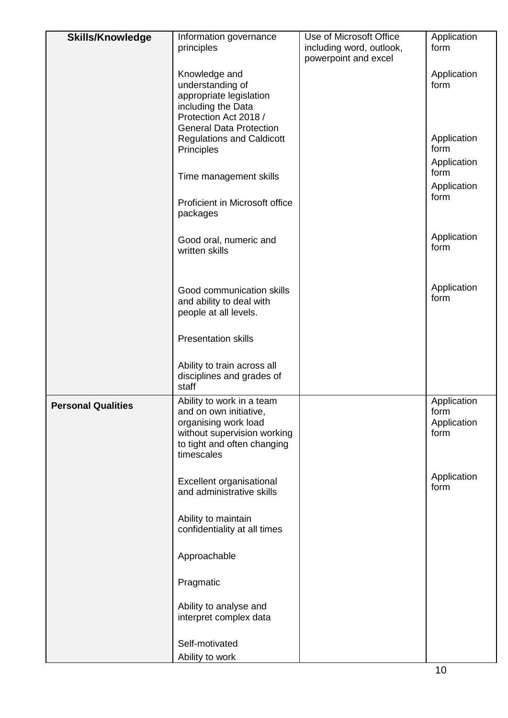| <b>Skills/Knowledge</b>   | Information governance<br>principles                                                                                                                    | Use of Microsoft Office<br>including word, outlook, | Application<br>form                        |
|---------------------------|---------------------------------------------------------------------------------------------------------------------------------------------------------|-----------------------------------------------------|--------------------------------------------|
|                           |                                                                                                                                                         | powerpoint and excel                                |                                            |
|                           | Knowledge and<br>understanding of<br>appropriate legislation<br>including the Data<br>Protection Act 2018 /<br><b>General Data Protection</b>           |                                                     | Application<br>form                        |
|                           | <b>Regulations and Caldicott</b><br>Principles                                                                                                          |                                                     | Application<br>form<br>Application         |
|                           | Time management skills                                                                                                                                  |                                                     | form<br>Application<br>form                |
|                           | Proficient in Microsoft office<br>packages                                                                                                              |                                                     |                                            |
|                           | Good oral, numeric and<br>written skills                                                                                                                |                                                     | Application<br>form                        |
|                           | Good communication skills<br>and ability to deal with<br>people at all levels.                                                                          |                                                     | Application<br>form                        |
|                           | <b>Presentation skills</b>                                                                                                                              |                                                     |                                            |
|                           | Ability to train across all<br>disciplines and grades of<br>staff                                                                                       |                                                     |                                            |
| <b>Personal Qualities</b> | Ability to work in a team<br>and on own initiative,<br>organising work load<br>without supervision working<br>to tight and often changing<br>timescales |                                                     | Application<br>form<br>Application<br>form |
|                           | Excellent organisational<br>and administrative skills                                                                                                   |                                                     | Application<br>form                        |
|                           | Ability to maintain<br>confidentiality at all times                                                                                                     |                                                     |                                            |
|                           | Approachable                                                                                                                                            |                                                     |                                            |
|                           | Pragmatic                                                                                                                                               |                                                     |                                            |
|                           | Ability to analyse and<br>interpret complex data                                                                                                        |                                                     |                                            |
|                           | Self-motivated<br>Ability to work                                                                                                                       |                                                     |                                            |